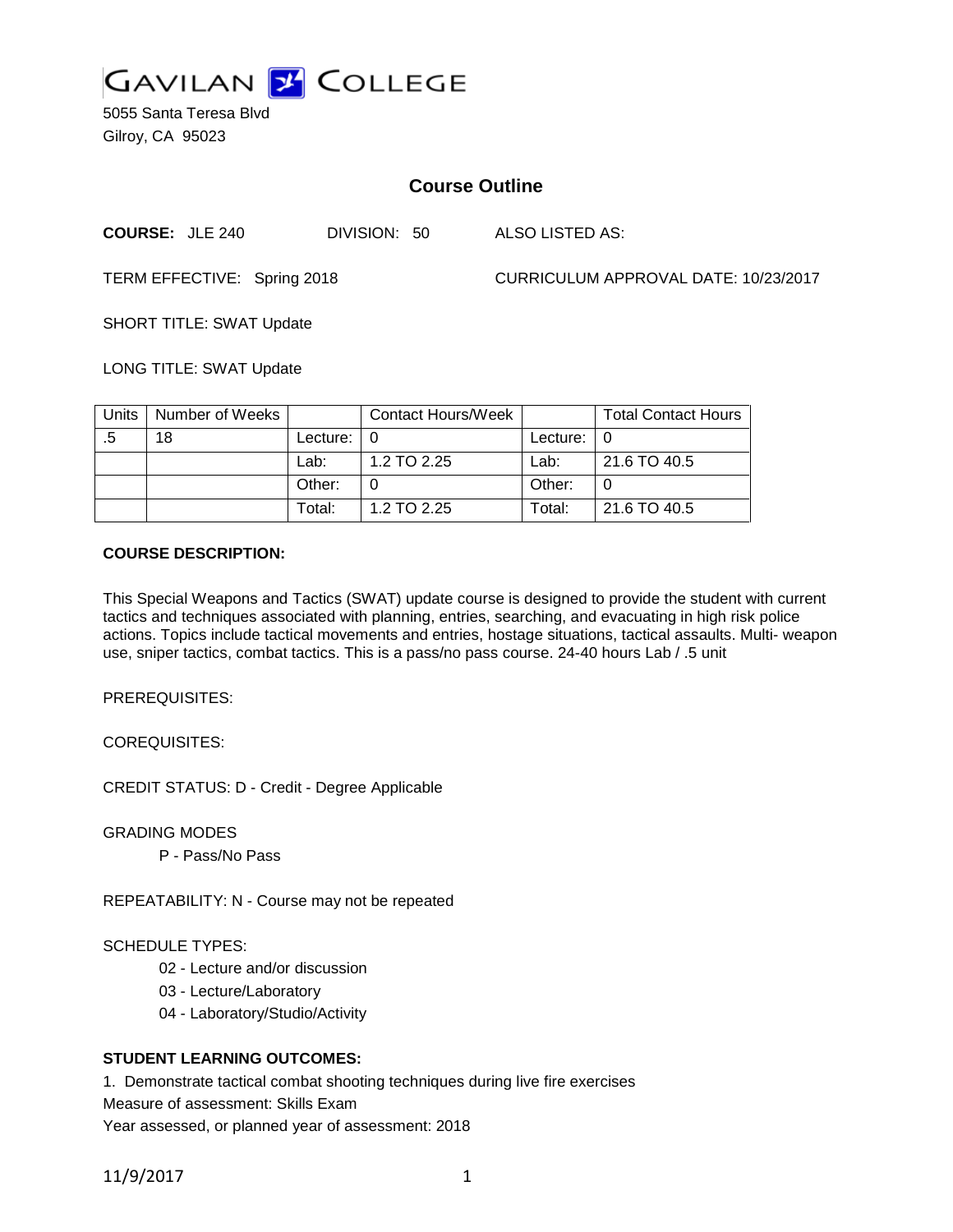

5055 Santa Teresa Blvd Gilroy, CA 95023

# **Course Outline**

| <b>COURSE: JLE 240</b> | DIVISION: 50 |  |
|------------------------|--------------|--|
|                        |              |  |

LSO LISTED AS:

TERM EFFECTIVE: Spring 2018 CURRICULUM APPROVAL DATE: 10/23/2017

SHORT TITLE: SWAT Update

LONG TITLE: SWAT Update

| Units | Number of Weeks |          | <b>Contact Hours/Week</b> |          | <b>Total Contact Hours</b> |
|-------|-----------------|----------|---------------------------|----------|----------------------------|
|       | 18              | Lecture: |                           | Lecture: |                            |
|       |                 | Lab:     | 1.2 TO 2.25               | Lab:     | 21.6 TO 40.5               |
|       |                 | Other:   |                           | Other:   |                            |
|       |                 | Total:   | 1.2 TO 2.25               | Гotal:   | 21.6 TO 40.5               |

### **COURSE DESCRIPTION:**

This Special Weapons and Tactics (SWAT) update course is designed to provide the student with current tactics and techniques associated with planning, entries, searching, and evacuating in high risk police actions. Topics include tactical movements and entries, hostage situations, tactical assaults. Multi- weapon use, sniper tactics, combat tactics. This is a pass/no pass course. 24-40 hours Lab / .5 unit

PREREQUISITES:

COREQUISITES:

CREDIT STATUS: D - Credit - Degree Applicable

GRADING MODES

P - Pass/No Pass

REPEATABILITY: N - Course may not be repeated

### SCHEDULE TYPES:

- 02 Lecture and/or discussion
- 03 Lecture/Laboratory
- 04 Laboratory/Studio/Activity

### **STUDENT LEARNING OUTCOMES:**

1. Demonstrate tactical combat shooting techniques during live fire exercises

Measure of assessment: Skills Exam

Year assessed, or planned year of assessment: 2018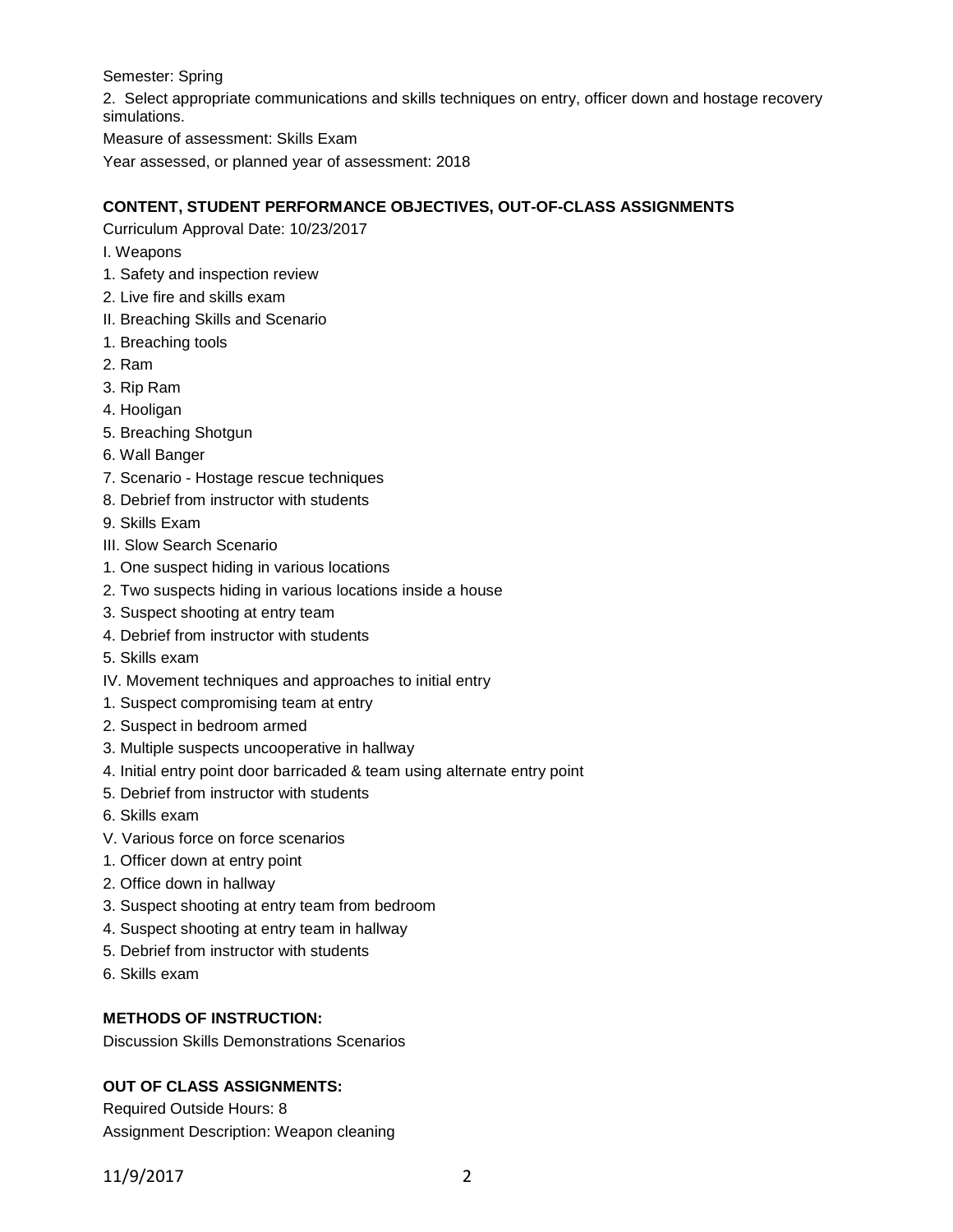Semester: Spring

2. Select appropriate communications and skills techniques on entry, officer down and hostage recovery simulations.

Measure of assessment: Skills Exam

Year assessed, or planned year of assessment: 2018

# **CONTENT, STUDENT PERFORMANCE OBJECTIVES, OUT-OF-CLASS ASSIGNMENTS**

Curriculum Approval Date: 10/23/2017

- I. Weapons
- 1. Safety and inspection review
- 2. Live fire and skills exam
- II. Breaching Skills and Scenario
- 1. Breaching tools
- 2. Ram
- 3. Rip Ram
- 4. Hooligan
- 5. Breaching Shotgun
- 6. Wall Banger
- 7. Scenario Hostage rescue techniques
- 8. Debrief from instructor with students
- 9. Skills Exam
- III. Slow Search Scenario
- 1. One suspect hiding in various locations
- 2. Two suspects hiding in various locations inside a house
- 3. Suspect shooting at entry team
- 4. Debrief from instructor with students
- 5. Skills exam
- IV. Movement techniques and approaches to initial entry
- 1. Suspect compromising team at entry
- 2. Suspect in bedroom armed
- 3. Multiple suspects uncooperative in hallway
- 4. Initial entry point door barricaded & team using alternate entry point
- 5. Debrief from instructor with students
- 6. Skills exam
- V. Various force on force scenarios
- 1. Officer down at entry point
- 2. Office down in hallway
- 3. Suspect shooting at entry team from bedroom
- 4. Suspect shooting at entry team in hallway
- 5. Debrief from instructor with students
- 6. Skills exam

### **METHODS OF INSTRUCTION:**

Discussion Skills Demonstrations Scenarios

# **OUT OF CLASS ASSIGNMENTS:**

Required Outside Hours: 8 Assignment Description: Weapon cleaning